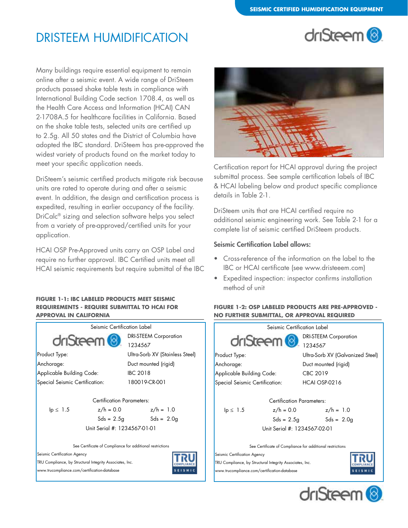# DRISTEEM HUMIDIFICATION



Many buildings require essential equipment to remain online after a seismic event. A wide range of DriSteem products passed shake table tests in compliance with International Building Code section 1708.4, as well as the Health Care Access and Information (HCAI) CAN 2-1708A.5 for healthcare facilities in California. Based on the shake table tests, selected units are certified up to 2.5g. All 50 states and the District of Columbia have adopted the IBC standard. DriSteem has pre-approved the widest variety of products found on the market today to meet your specific application needs.

DriSteem's seismic certified products mitigate risk because units are rated to operate during and after a seismic event. In addition, the design and certification process is expedited, resulting in earlier occupancy of the facility. DriCalc® sizing and selection software helps you select from a variety of pre-approved/certified units for your application.

HCAI OSP Pre-Approved units carry an OSP Label and require no further approval. IBC Certified units meet all HCAI seismic requirements but require submittal of the IBC

#### **FIGURE 1-1: IBC LABELED PRODUCTS MEET SEISMIC REQUIREMENTS - REQUIRE SUBMITTAL TO HCAI FOR APPROVAL IN CALIFORNIA**





Certification report for HCAI approval during the project submittal process. See sample certification labels of IBC & HCAI labeling below and product specific compliance details in Table 2-1.

DriSteem units that are HCAI certified require no additional seismic engineering work. See Table 2-1 for a complete list of seismic certified DriSteem products.

## Seismic Certification Label allows:

- Cross-reference of the information on the label to the IBC or HCAI certificate (see www.dristeeem.com)
- Expedited inspection: inspector confirms installation method of unit

### **FIGURE 1-2: OSP LABELED PRODUCTS ARE PRE-APPROVED - NO FURTHER SUBMITTAL, OR APPROVAL REQUIRED**